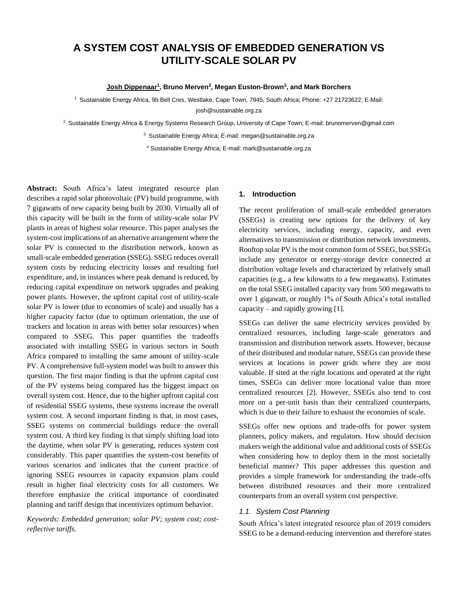# **A SYSTEM COST ANALYSIS OF EMBEDDED GENERATION VS UTILITY-SCALE SOLAR PV**

#### **Josh Dippenaar<sup>1</sup> , Bruno Merven<sup>2</sup> , Megan Euston-Brown<sup>3</sup> , and Mark Borchers**

<sup>1</sup> Sustainable Energy Africa, 9b Bell Cres, Westlake, Cape Town, 7945, South Africa; Phone: +27 21723622; E-Mail: josh@sustainable.org.za

<sup>2</sup> Sustainable Energy Africa & Energy Systems Research Group, University of Cape Town; E-mail: brunomerven@gmail.com

<sup>3</sup> Sustainable Energy Africa; E-mail: megan@sustainable.org.za

<sup>4</sup> Sustainable Energy Africa; E-mail: mark@sustainable.org.za

**Abstract:** South Africa's latest integrated resource plan describes a rapid solar photovoltaic (PV) build programme, with 7 gigawatts of new capacity being built by 2030. Virtually all of this capacity will be built in the form of utility-scale solar PV plants in areas of highest solar resource. This paper analyses the system-cost implications of an alternative arrangement where the solar PV is connected to the distribution network, known as small-scale embedded generation (SSEG). SSEG reduces overall system costs by reducing electricity losses and resulting fuel expenditure, and, in instances where peak demand is reduced, by reducing capital expenditure on network upgrades and peaking power plants. However, the upfront capital cost of utility-scale solar PV is lower (due to economies of scale) and usually has a higher capacity factor (due to optimum orientation, the use of trackers and location in areas with better solar resources) when compared to SSEG. This paper quantifies the tradeoffs associated with installing SSEG in various sectors in South Africa compared to installing the same amount of utility-scale PV. A comprehensive full-system model was built to answer this question. The first major finding is that the upfront capital cost of the PV systems being compared has the biggest impact on overall system cost. Hence, due to the higher upfront capital cost of residential SSEG systems, these systems increase the overall system cost. A second important finding is that, in most cases, SSEG systems on commercial buildings reduce the overall system cost. A third key finding is that simply shifting load into the daytime, when solar PV is generating, reduces system cost considerably. This paper quantifies the system-cost benefits of various scenarios and indicates that the current practice of ignoring SSEG resources in capacity expansion plans could result in higher final electricity costs for all customers. We therefore emphasize the critical importance of coordinated planning and tariff design that incentivizes optimum behavior.

*Keywords: Embedded generation; solar PV; system cost; costreflective tariffs.*

# **1. Introduction**

The recent proliferation of small-scale embedded generators (SSEGs) is creating new options for the delivery of key electricity services, including energy, capacity, and even alternatives to transmission or distribution network investments. Rooftop solar PV is the most common form of SSEG, but SSEGs include any generator or energy-storage device connected at distribution voltage levels and characterized by relatively small capacities (e.g., a few kilowatts to a few megawatts). Estimates on the total SSEG installed capacity vary from 500 megawatts to over 1 gigawatt, or roughly 1% of South Africa's total installed capacity – and rapidly growing [1].

SSEGs can deliver the same electricity services provided by centralized resources, including large-scale generators and transmission and distribution network assets. However, because of their distributed and modular nature, SSEGs can provide these services at locations in power grids where they are most valuable. If sited at the right locations and operated at the right times, SSEGs can deliver more locational value than more centralized resources [2]. However, SSEGs also tend to cost more on a per-unit basis than their centralized counterparts, which is due to their failure to exhaust the economies of scale.

SSEGs offer new options and trade-offs for power system planners, policy makers, and regulators. How should decision makers weigh the additional value and additional costs of SSEGs when considering how to deploy them in the most societally beneficial manner? This paper addresses this question and provides a simple framework for understanding the trade-offs between distributed resources and their more centralized counterparts from an overall system cost perspective.

## *1.1. System Cost Planning*

South Africa's latest integrated resource plan of 2019 considers SSEG to be a demand-reducing intervention and therefore states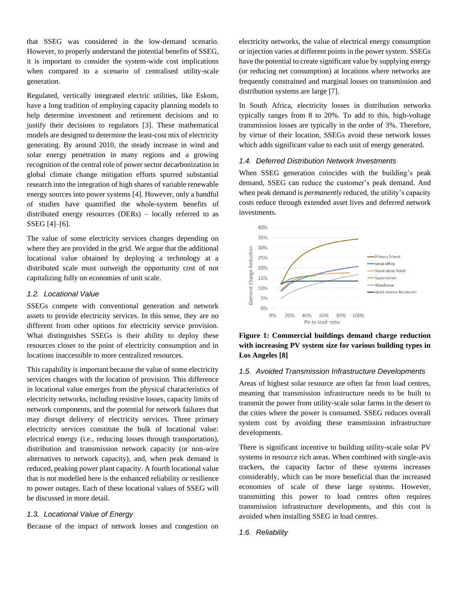that SSEG was considered in the low-demand scenario. However, to properly understand the potential benefits of SSEG, it is important to consider the system-wide cost implications when compared to a scenario of centralised utility-scale generation.

Regulated, vertically integrated electric utilities, like Eskom, have a long tradition of employing capacity planning models to help determine investment and retirement decisions and to justify their decisions to regulators [3]. These mathematical models are designed to determine the least-cost mix of electricity generating. By around 2010, the steady increase in wind and solar energy penetration in many regions and a growing recognition of the central role of power sector decarbonization in global climate change mitigation efforts spurred substantial research into the integration of high shares of variable renewable energy sources into power systems [4]. However, only a handful of studies have quantified the whole-system benefits of distributed energy resources (DERs) – locally referred to as SSEG [4]–[6].

The value of some electricity services changes depending on where they are provided in the grid. We argue that the additional locational value obtained by deploying a technology at a distributed scale must outweigh the opportunity cost of not capitalizing fully on economies of unit scale.

## *1.2. Locational Value*

SSEGs compete with conventional generation and network assets to provide electricity services. In this sense, they are no different from other options for electricity service provision. What distinguishes SSEGs is their ability to deploy these resources closer to the point of electricity consumption and in locations inaccessible to more centralized resources.

This capability is important because the value of some electricity services changes with the location of provision. This difference in locational value emerges from the physical characteristics of electricity networks, including resistive losses, capacity limits of network components, and the potential for network failures that may disrupt delivery of electricity services. Three primary electricity services constitute the bulk of locational value: electrical energy (i.e., reducing losses through transportation), distribution and transmission network capacity (or non-wire alternatives to network capacity), and, when peak demand is reduced, peaking power plant capacity. A fourth locational value that is not modelled here is the enhanced reliability or resilience to power outages. Each of these locational values of SSEG will be discussed in more detail.

#### *1.3. Locational Value of Energy*

Because of the impact of network losses and congestion on

electricity networks, the value of electrical energy consumption or injection varies at different points in the power system. SSEGs have the potential to create significant value by supplying energy (or reducing net consumption) at locations where networks are frequently constrained and marginal losses on transmission and distribution systems are large [7].

In South Africa, electricity losses in distribution networks typically ranges from 8 to 20%. To add to this, high-voltage transmission losses are typically in the order of 3%. Therefore, by virtue of their location, SSEGs avoid these network losses which adds significant value to each unit of energy generated.

#### *1.4. Deferred Distribution Network Investments*

When SSEG generation coincides with the building's peak demand, SSEG can reduce the customer's peak demand. And when peak demand is *permanently* reduced, the utility's capacity costs reduce through extended asset lives and deferred network investments.





### *1.5. Avoided Transmission Infrastructure Developments*

Areas of highest solar resource are often far from load centres, meaning that transmission infrastructure needs to be built to transmit the power from utility-scale solar farms in the desert to the cities where the power is consumed. SSEG reduces overall system cost by avoiding these transmission infrastructure developments.

There is significant incentive to building utility-scale solar PV systems in resource rich areas. When combined with single-axis trackers, the capacity factor of these systems increases considerably, which can be more beneficial than the increased economies of scale of these large systems. However, transmitting this power to load centres often requires transmission infrastructure developments, and this cost is avoided when installing SSEG in load centres.

#### *1.6. Reliability*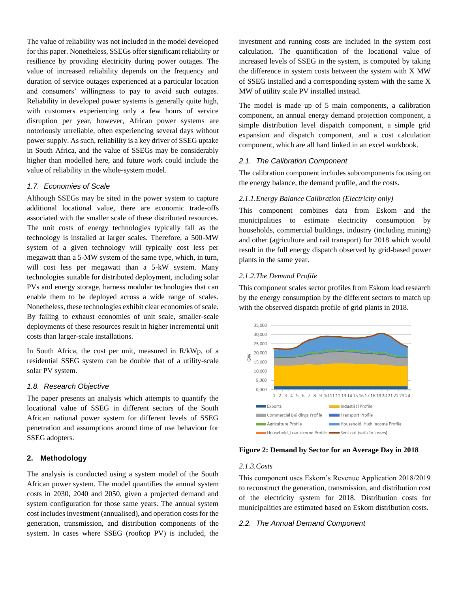The value of reliability was not included in the model developed for this paper. Nonetheless, SSEGs offer significant reliability or resilience by providing electricity during power outages. The value of increased reliability depends on the frequency and duration of service outages experienced at a particular location and consumers' willingness to pay to avoid such outages. Reliability in developed power systems is generally quite high, with customers experiencing only a few hours of service disruption per year, however, African power systems are notoriously unreliable, often experiencing several days without power supply. As such, reliability is a key driver of SSEG uptake in South Africa, and the value of SSEGs may be considerably higher than modelled here, and future work could include the value of reliability in the whole-system model.

## *1.7. Economies of Scale*

Although SSEGs may be sited in the power system to capture additional locational value, there are economic trade-offs associated with the smaller scale of these distributed resources. The unit costs of energy technologies typically fall as the technology is installed at larger scales. Therefore, a 500-MW system of a given technology will typically cost less per megawatt than a 5-MW system of the same type, which, in turn, will cost less per megawatt than a 5-kW system. Many technologies suitable for distributed deployment, including solar PVs and energy storage, harness modular technologies that can enable them to be deployed across a wide range of scales. Nonetheless, these technologies exhibit clear economies of scale. By failing to exhaust economies of unit scale, smaller-scale deployments of these resources result in higher incremental unit costs than larger-scale installations.

In South Africa, the cost per unit, measured in R/kWp, of a residential SSEG system can be double that of a utility-scale solar PV system.

## *1.8. Research Objective*

The paper presents an analysis which attempts to quantify the locational value of SSEG in different sectors of the South African national power system for different levels of SSEG penetration and assumptions around time of use behaviour for SSEG adopters.

#### **2. Methodology**

The analysis is conducted using a system model of the South African power system. The model quantifies the annual system costs in 2030, 2040 and 2050, given a projected demand and system configuration for those same years. The annual system cost includes investment (annualised), and operation costs for the generation, transmission, and distribution components of the system. In cases where SSEG (rooftop PV) is included, the investment and running costs are included in the system cost calculation. The quantification of the locational value of increased levels of SSEG in the system, is computed by taking the difference in system costs between the system with X MW of SSEG installed and a corresponding system with the same X MW of utility scale PV installed instead.

The model is made up of 5 main components, a calibration component, an annual energy demand projection component, a simple distribution level dispatch component, a simple grid expansion and dispatch component, and a cost calculation component, which are all hard linked in an excel workbook.

#### *2.1. The Calibration Component*

The calibration component includes subcomponents focusing on the energy balance, the demand profile, and the costs.

#### *2.1.1.Energy Balance Calibration (Electricity only)*

This component combines data from Eskom and the municipalities to estimate electricity consumption by households, commercial buildings, industry (including mining) and other (agriculture and rail transport) for 2018 which would result in the full energy dispatch observed by grid-based power plants in the same year.

#### *2.1.2.The Demand Profile*

This component scales sector profiles from Eskom load research by the energy consumption by the different sectors to match up with the observed dispatch profile of grid plants in 2018.



**Figure 2: Demand by Sector for an Average Day in 2018**

#### *2.1.3.Costs*

This component uses Eskom's Revenue Application 2018/2019 to reconstruct the generation, transmission, and distribution cost of the electricity system for 2018. Distribution costs for municipalities are estimated based on Eskom distribution costs.

#### *2.2. The Annual Demand Component*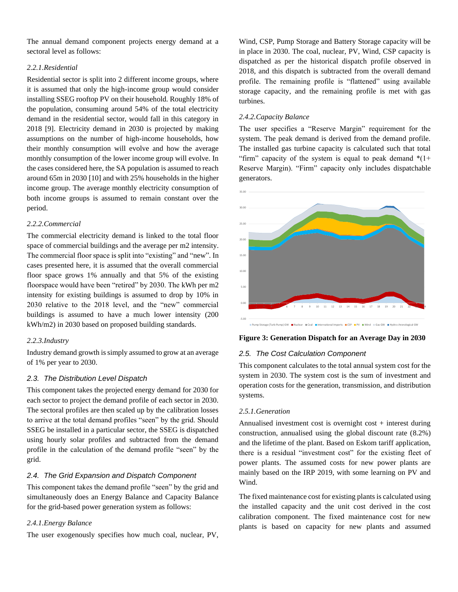The annual demand component projects energy demand at a sectoral level as follows:

## *2.2.1.Residential*

Residential sector is split into 2 different income groups, where it is assumed that only the high-income group would consider installing SSEG rooftop PV on their household. Roughly 18% of the population, consuming around 54% of the total electricity demand in the residential sector, would fall in this category in 2018 [9]. Electricity demand in 2030 is projected by making assumptions on the number of high-income households, how their monthly consumption will evolve and how the average monthly consumption of the lower income group will evolve. In the cases considered here, the SA population is assumed to reach around 65m in 2030 [10] and with 25% households in the higher income group. The average monthly electricity consumption of both income groups is assumed to remain constant over the period.

## *2.2.2.Commercial*

The commercial electricity demand is linked to the total floor space of commercial buildings and the average per m2 intensity. The commercial floor space is split into "existing" and "new". In cases presented here, it is assumed that the overall commercial floor space grows 1% annually and that 5% of the existing floorspace would have been "retired" by 2030. The kWh per m2 intensity for existing buildings is assumed to drop by 10% in 2030 relative to the 2018 level, and the "new" commercial buildings is assumed to have a much lower intensity (200 kWh/m2) in 2030 based on proposed building standards.

## *2.2.3.Industry*

Industry demand growth is simply assumed to grow at an average of 1% per year to 2030.

## *2.3. The Distribution Level Dispatch*

This component takes the projected energy demand for 2030 for each sector to project the demand profile of each sector in 2030. The sectoral profiles are then scaled up by the calibration losses to arrive at the total demand profiles "seen" by the grid. Should SSEG be installed in a particular sector, the SSEG is dispatched using hourly solar profiles and subtracted from the demand profile in the calculation of the demand profile "seen" by the grid.

## *2.4. The Grid Expansion and Dispatch Component*

This component takes the demand profile "seen" by the grid and simultaneously does an Energy Balance and Capacity Balance for the grid-based power generation system as follows:

#### *2.4.1.Energy Balance*

The user exogenously specifies how much coal, nuclear, PV,

Wind, CSP, Pump Storage and Battery Storage capacity will be in place in 2030. The coal, nuclear, PV, Wind, CSP capacity is dispatched as per the historical dispatch profile observed in 2018, and this dispatch is subtracted from the overall demand profile. The remaining profile is "flattened" using available storage capacity, and the remaining profile is met with gas turbines.

#### *2.4.2.Capacity Balance*

The user specifies a "Reserve Margin" requirement for the system. The peak demand is derived from the demand profile. The installed gas turbine capacity is calculated such that total "firm" capacity of the system is equal to peak demand  $*(1+)$ Reserve Margin). "Firm" capacity only includes dispatchable generators.



#### **Figure 3: Generation Dispatch for an Average Day in 2030**

# *2.5. The Cost Calculation Component*

This component calculates to the total annual system cost for the system in 2030. The system cost is the sum of investment and operation costs for the generation, transmission, and distribution systems.

## *2.5.1.Generation*

Annualised investment cost is overnight  $cost + interest$  during construction, annualised using the global discount rate (8.2%) and the lifetime of the plant. Based on Eskom tariff application, there is a residual "investment cost" for the existing fleet of power plants. The assumed costs for new power plants are mainly based on the IRP 2019, with some learning on PV and Wind.

The fixed maintenance cost for existing plants is calculated using the installed capacity and the unit cost derived in the cost calibration component. The fixed maintenance cost for new plants is based on capacity for new plants and assumed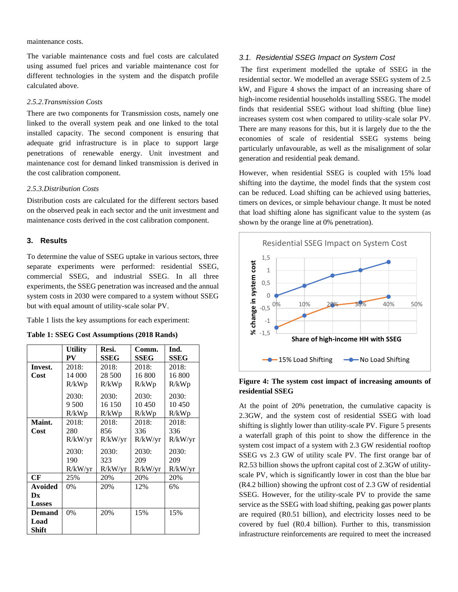#### maintenance costs.

The variable maintenance costs and fuel costs are calculated using assumed fuel prices and variable maintenance cost for different technologies in the system and the dispatch profile calculated above.

#### *2.5.2.Transmission Costs*

There are two components for Transmission costs, namely one linked to the overall system peak and one linked to the total installed capacity. The second component is ensuring that adequate grid infrastructure is in place to support large penetrations of renewable energy. Unit investment and maintenance cost for demand linked transmission is derived in the cost calibration component.

#### *2.5.3.Distribution Costs*

Distribution costs are calculated for the different sectors based on the observed peak in each sector and the unit investment and maintenance costs derived in the cost calibration component.

#### **3. Results**

To determine the value of SSEG uptake in various sectors, three separate experiments were performed: residential SSEG, commercial SSEG, and industrial SSEG. In all three experiments, the SSEG penetration was increased and the annual system costs in 2030 were compared to a system without SSEG but with equal amount of utility-scale solar PV.

[Table 1](#page-4-0) lists the key assumptions for each experiment:

<span id="page-4-0"></span>

|  |  |  |  | Table 1: SSEG Cost Assumptions (2018 Rands) |  |  |
|--|--|--|--|---------------------------------------------|--|--|
|--|--|--|--|---------------------------------------------|--|--|

|                | <b>Utility</b> | Resi.   | Comm.       | Ind.        |
|----------------|----------------|---------|-------------|-------------|
|                | PV             | SSEG    | <b>SSEG</b> | <b>SSEG</b> |
| Invest.        | 2018:          | 2018:   | 2018:       | 2018:       |
| Cost           | 14 000         | 28 500  | 16 800      | 16 800      |
|                | R/kWp          | R/kWp   | R/kWp       | R/kWp       |
|                | 2030:          | 2030:   | 2030:       | 2030:       |
|                | 9 500          | 16 150  | 10450       | 10450       |
|                | R/kWp          | R/kWp   | R/kWp       | R/kWp       |
| Maint.         | 2018:          | 2018:   | 2018:       | 2018:       |
| Cost           | 280            | 856     | 336         | 336         |
|                | R/kW/yr        | R/kW/yr | R/kW/yr     | R/kW/yr     |
|                | 2030:          | 2030:   | 2030:       | 2030:       |
|                | 190            | 323     | 209         | 209         |
|                | R/kW/yr        | R/kW/yr | R/kW/yr     | R/kW/yr     |
| CF             | 25%            | 20%     | 20%         | 20%         |
| <b>Avoided</b> | 0%             | 20%     | 12%         | 6%          |
| Dx             |                |         |             |             |
| <b>Losses</b>  |                |         |             |             |
| <b>Demand</b>  | 0%             | 20%     | 15%         | 15%         |
| Load           |                |         |             |             |
| <b>Shift</b>   |                |         |             |             |

## *3.1. Residential SSEG Impact on System Cost*

The first experiment modelled the uptake of SSEG in the residential sector. We modelled an average SSEG system of 2.5 kW, and [Figure 4](#page-4-1) shows the impact of an increasing share of high-income residential households installing SSEG. The model finds that residential SSEG without load shifting (blue line) increases system cost when compared to utility-scale solar PV. There are many reasons for this, but it is largely due to the the economies of scale of residential SSEG systems being particularly unfavourable, as well as the misalignment of solar generation and residential peak demand.

However, when residential SSEG is coupled with 15% load shifting into the daytime, the model finds that the system cost can be reduced. Load shifting can be achieved using batteries, timers on devices, or simple behaviour change. It must be noted that load shifting alone has significant value to the system (as shown by the orange line at 0% penetration).



## <span id="page-4-1"></span>**Figure 4: The system cost impact of increasing amounts of residential SSEG**

At the point of 20% penetration, the cumulative capacity is 2.3GW, and the system cost of residential SSEG with load shifting is slightly lower than utility-scale PV. [Figure 5](#page-5-0) presents a waterfall graph of this point to show the difference in the system cost impact of a system with 2.3 GW residential rooftop SSEG vs 2.3 GW of utility scale PV. The first orange bar of R2.53 billion shows the upfront capital cost of 2.3GW of utilityscale PV, which is significantly lower in cost than the blue bar (R4.2 billion) showing the upfront cost of 2.3 GW of residential SSEG. However, for the utility-scale PV to provide the same service as the SSEG with load shifting, peaking gas power plants are required (R0.51 billion), and electricity losses need to be covered by fuel (R0.4 billion). Further to this, transmission infrastructure reinforcements are required to meet the increased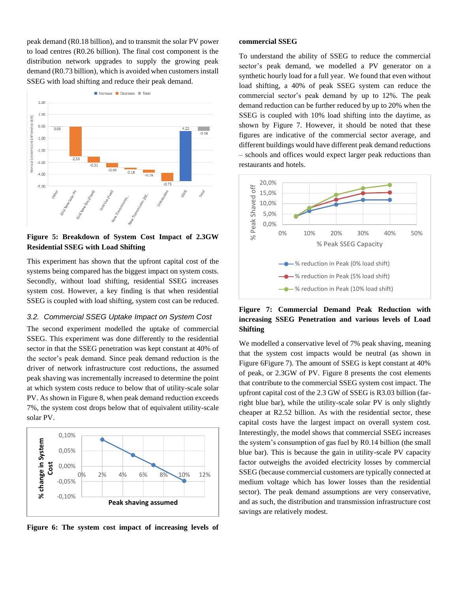peak demand (R0.18 billion), and to transmit the solar PV power to load centres (R0.26 billion). The final cost component is the distribution network upgrades to supply the growing peak demand (R0.73 billion), which is avoided when customers install SSEG with load shifting and reduce their peak demand.



<span id="page-5-0"></span>**Figure 5: Breakdown of System Cost Impact of 2.3GW Residential SSEG with Load Shifting**

This experiment has shown that the upfront capital cost of the systems being compared has the biggest impact on system costs. Secondly, without load shifting, residential SSEG increases system cost. However, a key finding is that when residential SSEG is coupled with load shifting, system cost can be reduced.

#### *3.2. Commercial SSEG Uptake Impact on System Cost*

The second experiment modelled the uptake of commercial SSEG. This experiment was done differently to the residential sector in that the SSEG penetration was kept constant at 40% of the sector's peak demand. Since peak demand reduction is the driver of network infrastructure cost reductions, the assumed peak shaving was incrementally increased to determine the point at which system costs reduce to below that of utility-scale solar PV. As shown i[n Figure 8,](#page-6-0) when peak demand reduction exceeds 7%, the system cost drops below that of equivalent utility-scale solar PV.



<span id="page-5-2"></span>**Figure 6: The system cost impact of increasing levels of** 

#### **commercial SSEG**

To understand the ability of SSEG to reduce the commercial sector's peak demand, we modelled a PV generator on a synthetic hourly load for a full year. We found that even without load shifting, a 40% of peak SSEG system can reduce the commercial sector's peak demand by up to 12%. The peak demand reduction can be further reduced by up to 20% when the SSEG is coupled with 10% load shifting into the daytime, as shown by [Figure 7.](#page-5-1) However, it should be noted that these figures are indicative of the commercial sector average, and different buildings would have different peak demand reductions – schools and offices would expect larger peak reductions than restaurants and hotels.



# <span id="page-5-1"></span>**Figure 7: Commercial Demand Peak Reduction with increasing SSEG Penetration and various levels of Load Shifting**

We modelled a conservative level of 7% peak shaving, meaning that the system cost impacts would be neutral (as shown in [Figure 6](#page-5-2)[Figure 7\)](#page-5-1). The amount of SSEG is kept constant at 40% of peak, or 2.3GW of PV. [Figure 8](#page-6-0) presents the cost elements that contribute to the commercial SSEG system cost impact. The upfront capital cost of the 2.3 GW of SSEG is R3.03 billion (farright blue bar), while the utility-scale solar PV is only slightly cheaper at R2.52 billion. As with the residential sector, these capital costs have the largest impact on overall system cost. Interestingly, the model shows that commercial SSEG increases the system's consumption of gas fuel by R0.14 billion (the small blue bar). This is because the gain in utility-scale PV capacity factor outweighs the avoided electricity losses by commercial SSEG (because commercial customers are typically connected at medium voltage which has lower losses than the residential sector). The peak demand assumptions are very conservative, and as such, the distribution and transmission infrastructure cost savings are relatively modest.